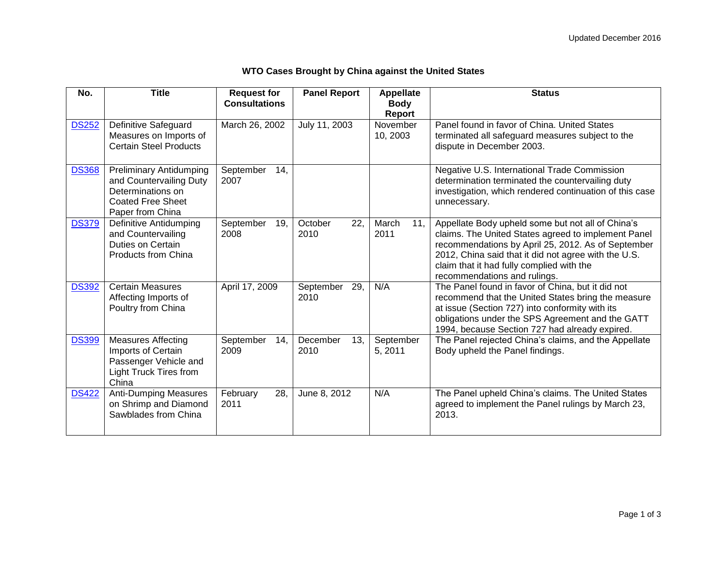| No.          | <b>Title</b>                                                                                                                   | <b>Request for</b><br><b>Consultations</b> | <b>Panel Report</b>      | <b>Appellate</b><br><b>Body</b> | <b>Status</b>                                                                                                                                                                                                                                                                                       |
|--------------|--------------------------------------------------------------------------------------------------------------------------------|--------------------------------------------|--------------------------|---------------------------------|-----------------------------------------------------------------------------------------------------------------------------------------------------------------------------------------------------------------------------------------------------------------------------------------------------|
|              |                                                                                                                                |                                            |                          | Report                          |                                                                                                                                                                                                                                                                                                     |
| <b>DS252</b> | Definitive Safeguard<br>Measures on Imports of<br><b>Certain Steel Products</b>                                                | March 26, 2002                             | July 11, 2003            | November<br>10, 2003            | Panel found in favor of China. United States<br>terminated all safeguard measures subject to the<br>dispute in December 2003.                                                                                                                                                                       |
| <b>DS368</b> | <b>Preliminary Antidumping</b><br>and Countervailing Duty<br>Determinations on<br><b>Coated Free Sheet</b><br>Paper from China | September<br>14.<br>2007                   |                          |                                 | Negative U.S. International Trade Commission<br>determination terminated the countervailing duty<br>investigation, which rendered continuation of this case<br>unnecessary.                                                                                                                         |
| <b>DS379</b> | Definitive Antidumping<br>and Countervailing<br>Duties on Certain<br>Products from China                                       | September<br>19,<br>2008                   | 22,<br>October<br>2010   | March<br>11,<br>2011            | Appellate Body upheld some but not all of China's<br>claims. The United States agreed to implement Panel<br>recommendations by April 25, 2012. As of September<br>2012, China said that it did not agree with the U.S.<br>claim that it had fully complied with the<br>recommendations and rulings. |
| <b>DS392</b> | <b>Certain Measures</b><br>Affecting Imports of<br>Poultry from China                                                          | April 17, 2009                             | September<br>29,<br>2010 | N/A                             | The Panel found in favor of China, but it did not<br>recommend that the United States bring the measure<br>at issue (Section 727) into conformity with its<br>obligations under the SPS Agreement and the GATT<br>1994, because Section 727 had already expired.                                    |
| <b>DS399</b> | <b>Measures Affecting</b><br>Imports of Certain<br>Passenger Vehicle and<br><b>Light Truck Tires from</b><br>China             | September<br>14.<br>2009                   | December<br>13.<br>2010  | September<br>5, 2011            | The Panel rejected China's claims, and the Appellate<br>Body upheld the Panel findings.                                                                                                                                                                                                             |
| <b>DS422</b> | <b>Anti-Dumping Measures</b><br>on Shrimp and Diamond<br>Sawblades from China                                                  | February<br>28.<br>2011                    | June 8, 2012             | N/A                             | The Panel upheld China's claims. The United States<br>agreed to implement the Panel rulings by March 23,<br>2013.                                                                                                                                                                                   |

## **WTO Cases Brought by China against the United States**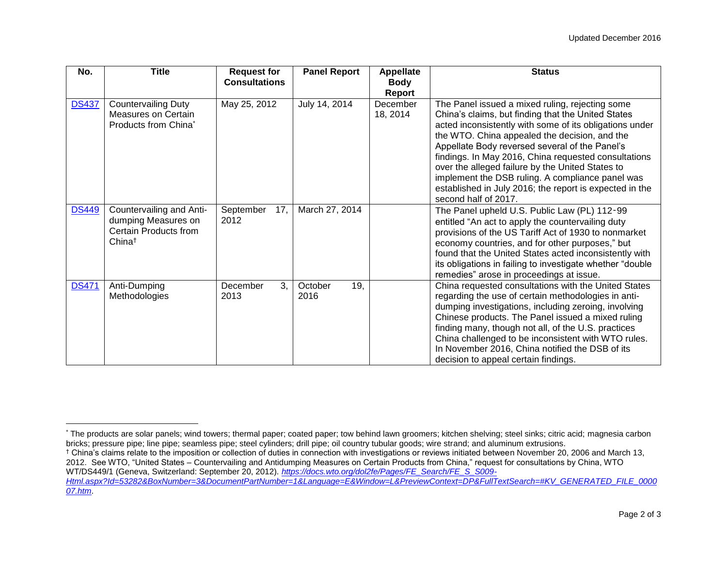| No.          | <b>Title</b>                                                                                   | <b>Request for</b><br><b>Consultations</b> | <b>Panel Report</b>    | <b>Appellate</b><br><b>Body</b><br><b>Report</b> | <b>Status</b>                                                                                                                                                                                                                                                                                                                                                                                                                                                                                                          |
|--------------|------------------------------------------------------------------------------------------------|--------------------------------------------|------------------------|--------------------------------------------------|------------------------------------------------------------------------------------------------------------------------------------------------------------------------------------------------------------------------------------------------------------------------------------------------------------------------------------------------------------------------------------------------------------------------------------------------------------------------------------------------------------------------|
| <b>DS437</b> | <b>Countervailing Duty</b><br>Measures on Certain<br>Products from China*                      | May 25, 2012                               | July 14, 2014          | December<br>18, 2014                             | The Panel issued a mixed ruling, rejecting some<br>China's claims, but finding that the United States<br>acted inconsistently with some of its obligations under<br>the WTO. China appealed the decision, and the<br>Appellate Body reversed several of the Panel's<br>findings. In May 2016, China requested consultations<br>over the alleged failure by the United States to<br>implement the DSB ruling. A compliance panel was<br>established in July 2016; the report is expected in the<br>second half of 2017. |
| <b>DS449</b> | Countervailing and Anti-<br>dumping Measures on<br>Certain Products from<br>China <sup>†</sup> | September<br>17,<br>2012                   | March 27, 2014         |                                                  | The Panel upheld U.S. Public Law (PL) 112-99<br>entitled "An act to apply the countervailing duty<br>provisions of the US Tariff Act of 1930 to nonmarket<br>economy countries, and for other purposes," but<br>found that the United States acted inconsistently with<br>its obligations in failing to investigate whether "double<br>remedies" arose in proceedings at issue.                                                                                                                                        |
| <b>DS471</b> | Anti-Dumping<br>Methodologies                                                                  | 3.<br>December<br>2013                     | 19,<br>October<br>2016 |                                                  | China requested consultations with the United States<br>regarding the use of certain methodologies in anti-<br>dumping investigations, including zeroing, involving<br>Chinese products. The Panel issued a mixed ruling<br>finding many, though not all, of the U.S. practices<br>China challenged to be inconsistent with WTO rules.<br>In November 2016, China notified the DSB of its<br>decision to appeal certain findings.                                                                                      |

 $\overline{a}$ 

<sup>\*</sup> The products are solar panels; wind towers; thermal paper; coated paper; tow behind lawn groomers; kitchen shelving; steel sinks; citric acid; magnesia carbon bricks; pressure pipe; line pipe; seamless pipe; steel cylinders; drill pipe; oil country tubular goods; wire strand; and aluminum extrusions.

<sup>†</sup> China's claims relate to the imposition or collection of duties in connection with investigations or reviews initiated between November 20, 2006 and March 13, 2012. See WTO, "United States – Countervailing and Antidumping Measures on Certain Products from China," request for consultations by China, WTO WT/DS449/1 (Geneva, Switzerland: September 20, 2012). *[https://docs.wto.org/dol2fe/Pages/FE\\_Search/FE\\_S\\_S009-](https://docs.wto.org/dol2fe/Pages/FE_Search/FE_S_S009-Html.aspx?Id=53282&BoxNumber=3&DocumentPartNumber=1&Language=E&Window=L&PreviewContext=DP&FullTextSearch=#KV_GENERATED_FILE_000007.htm)*

*[Html.aspx?Id=53282&BoxNumber=3&DocumentPartNumber=1&Language=E&Window=L&PreviewContext=DP&FullTextSearch=#KV\\_GENERATED\\_FILE\\_0000](https://docs.wto.org/dol2fe/Pages/FE_Search/FE_S_S009-Html.aspx?Id=53282&BoxNumber=3&DocumentPartNumber=1&Language=E&Window=L&PreviewContext=DP&FullTextSearch=#KV_GENERATED_FILE_000007.htm) [07.htm](https://docs.wto.org/dol2fe/Pages/FE_Search/FE_S_S009-Html.aspx?Id=53282&BoxNumber=3&DocumentPartNumber=1&Language=E&Window=L&PreviewContext=DP&FullTextSearch=#KV_GENERATED_FILE_000007.htm)*.